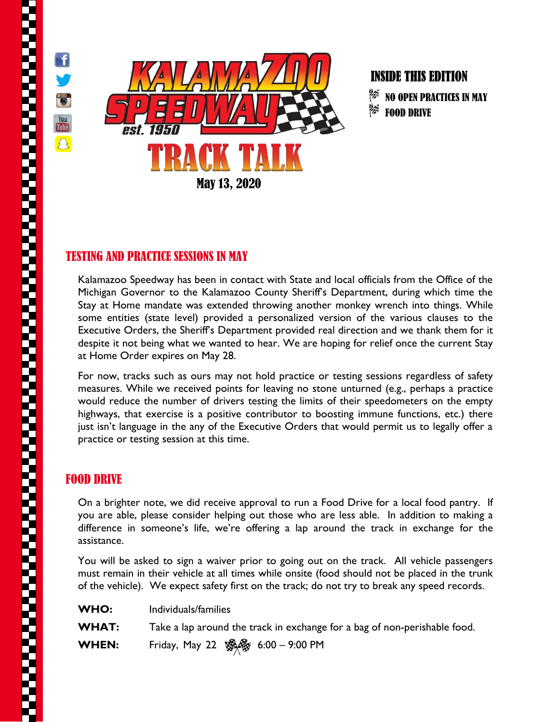

f.

 $\bullet$ 

**You**<br>Tube

 $\Omega$ 



## INSIDE THIS EDITION

巨 NO OPEN PRACTICES IN MAY W. FOOD DRIVE

## TESTING AND PRACTICE SESSIONS IN MAY

Kalamazoo Speedway has been in contact with State and local officials from the Office of the Michigan Governor to the Kalamazoo County Sheriff's Department, during which time the Stay at Home mandate was extended throwing another monkey wrench into things. While some entities (state level) provided a personalized version of the various clauses to the Executive Orders, the Sheriff's Department provided real direction and we thank them for it despite it not being what we wanted to hear. We are hoping for relief once the current Stay at Home Order expires on May 28.

For now, tracks such as ours may not hold practice or testing sessions regardless of safety measures. While we received points for leaving no stone unturned (e.g., perhaps a practice would reduce the number of drivers testing the limits of their speedometers on the empty highways, that exercise is a positive contributor to boosting immune functions, etc.) there just isn't language in the any of the Executive Orders that would permit us to legally offer a practice or testing session at this time.

## FOOD DRIVE

On a brighter note, we did receive approval to run a Food Drive for a local food pantry. If you are able, please consider helping out those who are less able. In addition to making a difference in someone's life, we're offering a lap around the track in exchange for the assistance.

You will be asked to sign a waiver prior to going out on the track. All vehicle passengers must remain in their vehicle at all times while onsite (food should not be placed in the trunk of the vehicle). We expect safety first on the track; do not try to break any speed records.

| WHO:         | Individuals/families                                                      |
|--------------|---------------------------------------------------------------------------|
| <b>WHAT:</b> | Take a lap around the track in exchange for a bag of non-perishable food. |
| <b>WHEN:</b> | Friday, May 22 SAS 6:00 - 9:00 PM                                         |